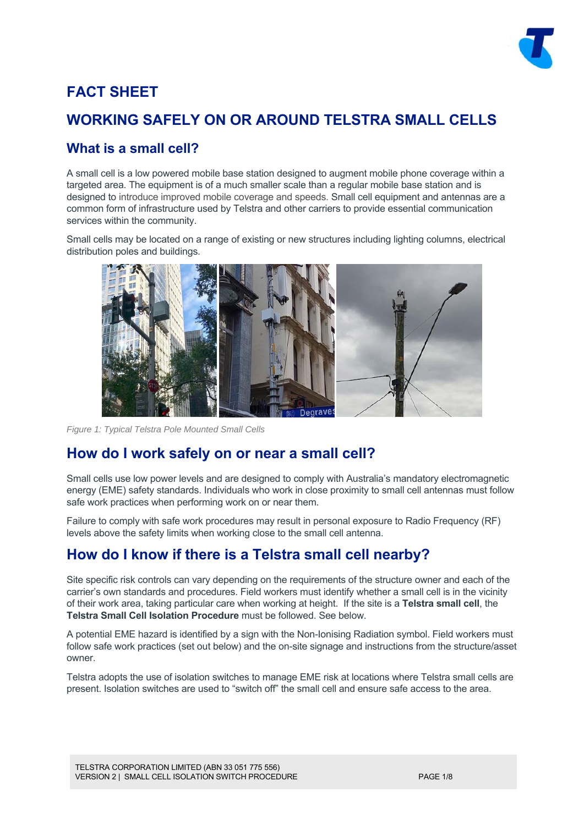

# **FACT SHEET**

## **WORKING SAFELY ON OR AROUND TELSTRA SMALL CELLS**

### **What is a small cell?**

A small cell is a low powered mobile base station designed to augment mobile phone coverage within a targeted area. The equipment is of a much smaller scale than a regular mobile base station and is designed to introduce improved mobile coverage and speeds. Small cell equipment and antennas are a common form of infrastructure used by Telstra and other carriers to provide essential communication services within the community.

Small cells may be located on a range of existing or new structures including lighting columns, electrical distribution poles and buildings.



*Figure 1: Typical Telstra Pole Mounted Small Cells* 

## **How do I work safely on or near a small cell?**

Small cells use low power levels and are designed to comply with Australia's mandatory electromagnetic energy (EME) safety standards. Individuals who work in close proximity to small cell antennas must follow safe work practices when performing work on or near them.

Failure to comply with safe work procedures may result in personal exposure to Radio Frequency (RF) levels above the safety limits when working close to the small cell antenna.

# **How do I know if there is a Telstra small cell nearby?**

Site specific risk controls can vary depending on the requirements of the structure owner and each of the carrier's own standards and procedures. Field workers must identify whether a small cell is in the vicinity of their work area, taking particular care when working at height. If the site is a **Telstra small cell**, the **Telstra Small Cell Isolation Procedure** must be followed. See below.

A potential EME hazard is identified by a sign with the Non-Ionising Radiation symbol. Field workers must follow safe work practices (set out below) and the on-site signage and instructions from the structure/asset owner.

Telstra adopts the use of isolation switches to manage EME risk at locations where Telstra small cells are present. Isolation switches are used to "switch off" the small cell and ensure safe access to the area.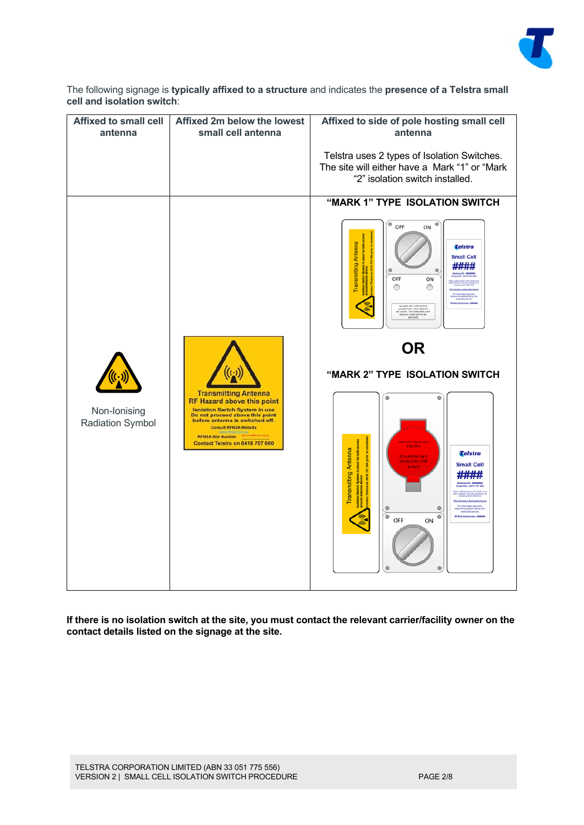

The following signage is **typically affixed to a structure** and indicates the **presence of a Telstra small cell and isolation switch**:

| <b>Affixed to small cell</b><br>antenna | Affixed 2m below the lowest<br>small cell antenna                                                                                                                                                                                                                                              | Affixed to side of pole hosting small cell<br>antenna                                                                                                                                                                                                                                                                                     |
|-----------------------------------------|------------------------------------------------------------------------------------------------------------------------------------------------------------------------------------------------------------------------------------------------------------------------------------------------|-------------------------------------------------------------------------------------------------------------------------------------------------------------------------------------------------------------------------------------------------------------------------------------------------------------------------------------------|
|                                         |                                                                                                                                                                                                                                                                                                | Telstra uses 2 types of Isolation Switches.<br>The site will either have a Mark "1" or "Mark<br>"2" isolation switch installed.                                                                                                                                                                                                           |
|                                         |                                                                                                                                                                                                                                                                                                | "MARK 1" TYPE ISOLATION SWITCH                                                                                                                                                                                                                                                                                                            |
|                                         |                                                                                                                                                                                                                                                                                                | $\bullet$<br>Ó<br>OFF<br>ON<br><b>Transmitting Antenna</b><br>Telstra<br><b>Small Cell</b><br>$\circ$<br>$\circ$<br>OFF<br>ON<br>∩<br>O<br><b><i>Facility</i></b> Is Being Mo.<br>AN LIGHT ON - UNIT PARCTIVE<br>JUGHTS - TILT OPERATED, UNIT<br>JUGHTS - TILT OPERATED, UNIT                                                             |
|                                         |                                                                                                                                                                                                                                                                                                | <b>OR</b>                                                                                                                                                                                                                                                                                                                                 |
| Non-Ionising<br><b>Radiation Symbol</b> | <b>Transmitting Antenna</b><br><b>RF Hazard above this point</b><br><b>Isolation Switch System in use</b><br>Do not proceed above this point<br>before antenna is switched off.<br><b>Consult RFNSA Website</b><br>RFNSA Site Number:<br><b>INSA Number</b><br>Contact Telstra on 0418 707 000 | "MARK 2" TYPE ISOLATION SWITCH                                                                                                                                                                                                                                                                                                            |
|                                         |                                                                                                                                                                                                                                                                                                | ۵<br><b>TELS TRA</b><br><b>Transmitting Antenna</b><br>ation Switch System in place for safe<br>and antenna device<br>Telstra<br><b>SOLATION UNIT</b><br><b>S6I US GTM-CPPC</b><br>8<br><b>Small Cell</b><br><b>KAMP</b><br>on 0418 707<br>ty is Being Monit<br>$\bullet$<br>$\bullet$<br>۰<br>$\bullet$<br><b>OFF</b><br>ON<br>$\bullet$ |

**If there is no isolation switch at the site, you must contact the relevant carrier/facility owner on the contact details listed on the signage at the site.**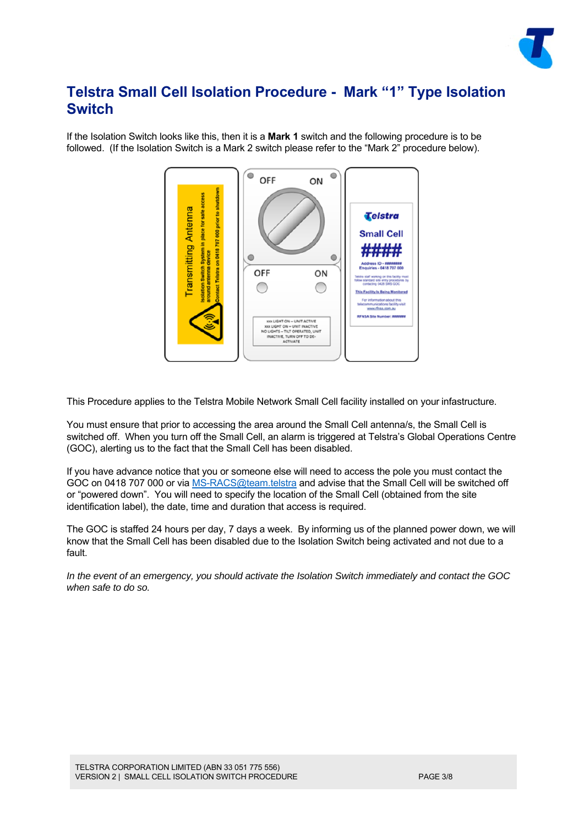

### **Telstra Small Cell Isolation Procedure - Mark "1" Type Isolation Switch**

If the Isolation Switch looks like this, then it is a **Mark 1** switch and the following procedure is to be followed. (If the Isolation Switch is a Mark 2 switch please refer to the "Mark 2" procedure below).



This Procedure applies to the Telstra Mobile Network Small Cell facility installed on your infastructure.

You must ensure that prior to accessing the area around the Small Cell antenna/s, the Small Cell is switched off. When you turn off the Small Cell, an alarm is triggered at Telstra's Global Operations Centre (GOC), alerting us to the fact that the Small Cell has been disabled.

If you have advance notice that you or someone else will need to access the pole you must contact the GOC on 0418 707 000 or via MS-RACS@team.telstra and advise that the Small Cell will be switched off or "powered down". You will need to specify the location of the Small Cell (obtained from the site identification label), the date, time and duration that access is required.

The GOC is staffed 24 hours per day, 7 days a week. By informing us of the planned power down, we will know that the Small Cell has been disabled due to the Isolation Switch being activated and not due to a fault.

*In the event of an emergency, you should activate the Isolation Switch immediately and contact the GOC when safe to do so.*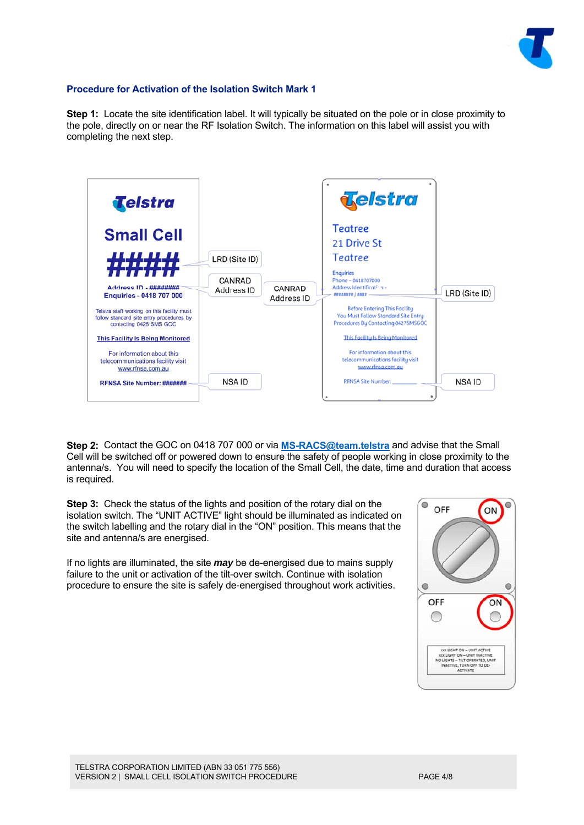

#### **Procedure for Activation of the Isolation Switch Mark 1**

**Step 1:** Locate the site identification label. It will typically be situated on the pole or in close proximity to the pole, directly on or near the RF Isolation Switch. The information on this label will assist you with completing the next step.



**Step 2:** Contact the GOC on 0418 707 000 or via **MS-RACS@team.telstra** and advise that the Small Cell will be switched off or powered down to ensure the safety of people working in close proximity to the antenna/s. You will need to specify the location of the Small Cell, the date, time and duration that access is required.

**Step 3:** Check the status of the lights and position of the rotary dial on the isolation switch. The "UNIT ACTIVE" light should be illuminated as indicated on the switch labelling and the rotary dial in the "ON" position. This means that the site and antenna/s are energised.

If no lights are illuminated, the site *may* be de-energised due to mains supply failure to the unit or activation of the tilt-over switch. Continue with isolation procedure to ensure the site is safely de-energised throughout work activities.

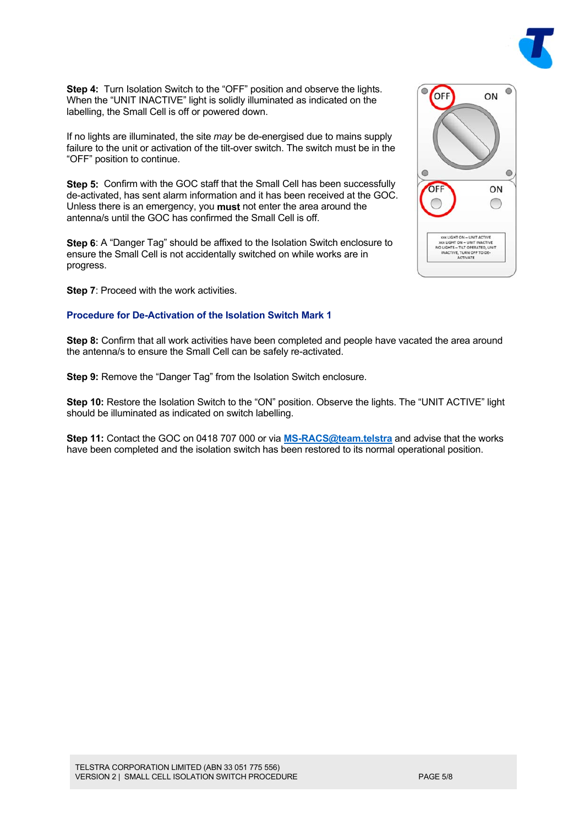

If no lights are illuminated, the site *may* be de-energised due to mains supply failure to the unit or activation of the tilt-over switch. The switch must be in the "OFF" position to continue.

**Step 5:** Confirm with the GOC staff that the Small Cell has been successfully de-activated, has sent alarm information and it has been received at the GOC. Unless there is an emergency, you **must** not enter the area around the antenna/s until the GOC has confirmed the Small Cell is off.

**Step 6**: A "Danger Tag" should be affixed to the Isolation Switch enclosure to ensure the Small Cell is not accidentally switched on while works are in progress.

**Step 7**: Proceed with the work activities.

#### **Procedure for De-Activation of the Isolation Switch Mark 1**

**Step 8:** Confirm that all work activities have been completed and people have vacated the area around the antenna/s to ensure the Small Cell can be safely re-activated.

**Step 9:** Remove the "Danger Tag" from the Isolation Switch enclosure.

**Step 10:** Restore the Isolation Switch to the "ON" position. Observe the lights. The "UNIT ACTIVE" light should be illuminated as indicated on switch labelling.

**Step 11:** Contact the GOC on 0418 707 000 or via **MS-RACS@team.telstra** and advise that the works have been completed and the isolation switch has been restored to its normal operational position.

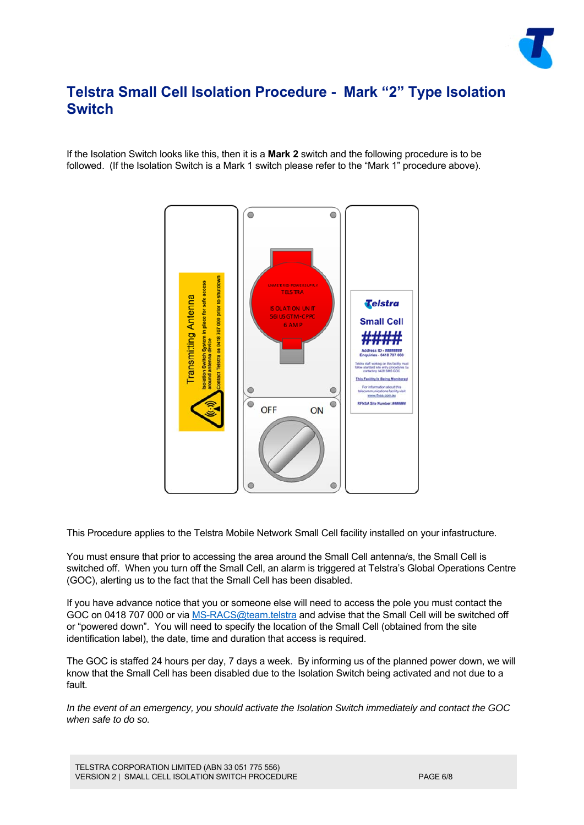

### **Telstra Small Cell Isolation Procedure - Mark "2" Type Isolation Switch**

If the Isolation Switch looks like this, then it is a **Mark 2** switch and the following procedure is to be followed. (If the Isolation Switch is a Mark 1 switch please refer to the "Mark 1" procedure above).



This Procedure applies to the Telstra Mobile Network Small Cell facility installed on your infastructure.

You must ensure that prior to accessing the area around the Small Cell antenna/s, the Small Cell is switched off. When you turn off the Small Cell, an alarm is triggered at Telstra's Global Operations Centre (GOC), alerting us to the fact that the Small Cell has been disabled.

If you have advance notice that you or someone else will need to access the pole you must contact the GOC on 0418 707 000 or via MS-RACS@team.telstra and advise that the Small Cell will be switched off or "powered down". You will need to specify the location of the Small Cell (obtained from the site identification label), the date, time and duration that access is required.

The GOC is staffed 24 hours per day, 7 days a week. By informing us of the planned power down, we will know that the Small Cell has been disabled due to the Isolation Switch being activated and not due to a fault.

*In the event of an emergency, you should activate the Isolation Switch immediately and contact the GOC when safe to do so.*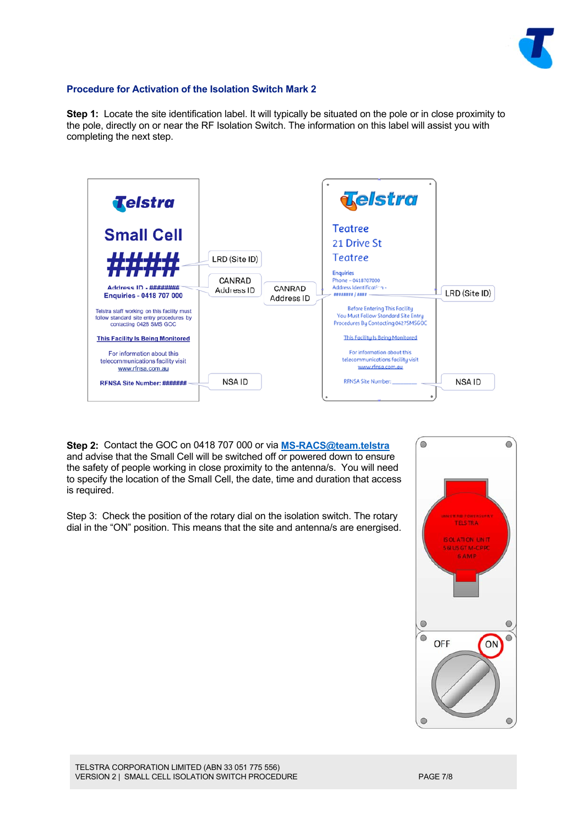

#### **Procedure for Activation of the Isolation Switch Mark 2**

**Step 1:** Locate the site identification label. It will typically be situated on the pole or in close proximity to the pole, directly on or near the RF Isolation Switch. The information on this label will assist you with completing the next step.



**Step 2:** Contact the GOC on 0418 707 000 or via **MS-RACS@team.telstra** and advise that the Small Cell will be switched off or powered down to ensure the safety of people working in close proximity to the antenna/s. You will need to specify the location of the Small Cell, the date, time and duration that access is required.

Step 3: Check the position of the rotary dial on the isolation switch. The rotary dial in the "ON" position. This means that the site and antenna/s are energised.